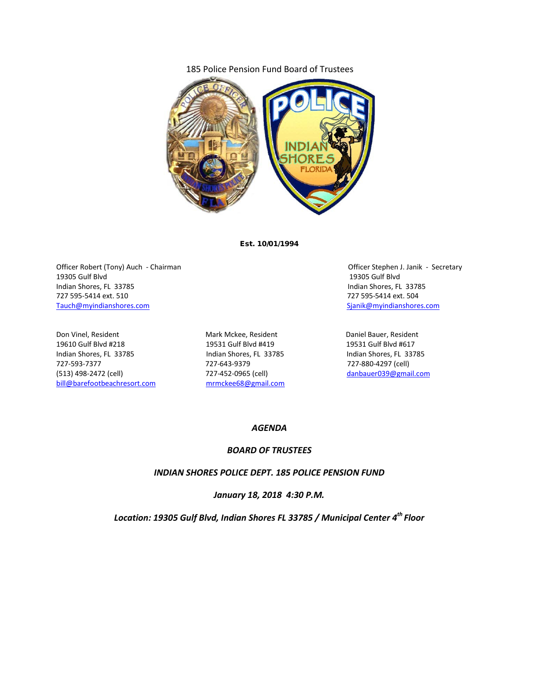### 185 Police Pension Fund Board of Trustees



Est. 10/01/1994

Officer Robert (Tony) Auch - Chairman **Officer Stephen J. Janik - Secretary** Officer Stephen J. Janik - Secretary 19305 Gulf Blvd 19305 Gulf Blvd Indian Shores, FL 33785 Indian Shores, FL 33785 727 595-5414 ext. 510 727 595-5414 ext. 504 [Tauch@myindianshores.com](mailto:Tauch@myindianshores.com) [Sjanik@myindianshores.com](mailto:Sjanik@myindianshores.com)

Don Vinel, Resident The Mark Mckee, Resident Daniel Bauer, Resident Controller and Daniel Bauer, Resident 19610 Gulf Blvd #218 19531 Gulf Blvd #419 19531 Gulf Blvd #617 Indian Shores, FL 33785 Indian Shores, FL 33785 Indian Shores, FL 33785 Indian Shores, FL 33785 Indian Shores, FL 33785 Indian Shores, FL 33785 Indian Shores, FL 33785 Indian Shores, FL 33785 Indian Shores, FL 33785 Indian 727-593-7377 727-643-9379 727-880-4297 (cell) [bill@barefootbeachresort.com](mailto:bill@barefootbeachresort.com) [mrmckee68@gmail.com](mailto:mrmckee68@gmail.com)

[danbauer039@gmail.com](mailto:danbauer039@gmail.com)

#### *AGENDA*

## *BOARD OF TRUSTEES*

#### *INDIAN SHORES POLICE DEPT. 185 POLICE PENSION FUND*

*January 18, 2018 4:30 P.M.*

*Location: 19305 Gulf Blvd, Indian Shores FL 33785 / Municipal Center 4th Floor*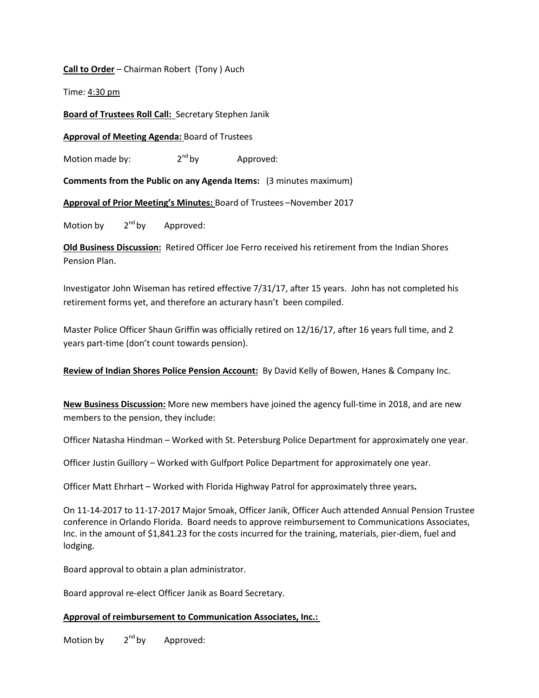# **Call to Order** – Chairman Robert (Tony ) Auch

Time: 4:30 pm

**Board of Trustees Roll Call:** Secretary Stephen Janik

**Approval of Meeting Agenda:** Board of Trustees

Motion made by:  $2^{nd}$  by Approved:

**Comments from the Public on any Agenda Items:** (3 minutes maximum)

**Approval of Prior Meeting's Minutes:** Board of Trustees –November 2017

Motion by  $2^{nd}$  by Approved:

**Old Business Discussion:** Retired Officer Joe Ferro received his retirement from the Indian Shores Pension Plan.

Investigator John Wiseman has retired effective 7/31/17, after 15 years. John has not completed his retirement forms yet, and therefore an acturary hasn't been compiled.

Master Police Officer Shaun Griffin was officially retired on 12/16/17, after 16 years full time, and 2 years part-time (don't count towards pension).

**Review of Indian Shores Police Pension Account:** By David Kelly of Bowen, Hanes & Company Inc.

**New Business Discussion:** More new members have joined the agency full-time in 2018, and are new members to the pension, they include:

Officer Natasha Hindman – Worked with St. Petersburg Police Department for approximately one year.

Officer Justin Guillory – Worked with Gulfport Police Department for approximately one year.

Officer Matt Ehrhart – Worked with Florida Highway Patrol for approximately three years**.**

On 11-14-2017 to 11-17-2017 Major Smoak, Officer Janik, Officer Auch attended Annual Pension Trustee conference in Orlando Florida. Board needs to approve reimbursement to Communications Associates, Inc. in the amount of \$1,841.23 for the costs incurred for the training, materials, pier-diem, fuel and lodging.

Board approval to obtain a plan administrator.

Board approval re-elect Officer Janik as Board Secretary.

## **Approval of reimbursement to Communication Associates, Inc.:**

Motion by  $2^{nd}$  by Approved: